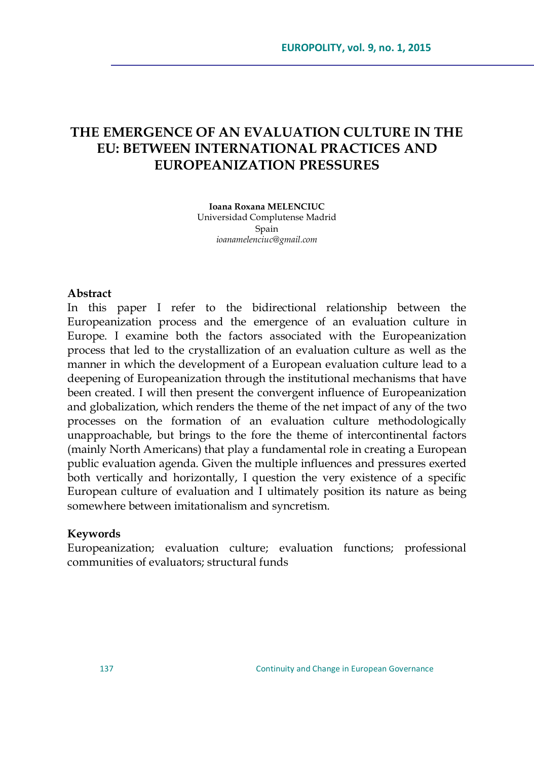# **THE EMERGENCE OF AN EVALUATION CULTURE IN THE EU: BETWEEN INTERNATIONAL PRACTICES AND EUROPEANIZATION PRESSURES**

**Ioana Roxana MELENCIUC** Universidad Complutense Madrid Spain *[ioanamelenciuc@gmail.com](mailto:ioanamelenciuc@gmail.com)*

### **Abstract**

In this paper I refer to the bidirectional relationship between the Europeanization process and the emergence of an evaluation culture in Europe. I examine both the factors associated with the Europeanization process that led to the crystallization of an evaluation culture as well as the manner in which the development of a European evaluation culture lead to a deepening of Europeanization through the institutional mechanisms that have been created. I will then present the convergent influence of Europeanization and globalization, which renders the theme of the net impact of any of the two processes on the formation of an evaluation culture methodologically unapproachable, but brings to the fore the theme of intercontinental factors (mainly North Americans) that play a fundamental role in creating a European public evaluation agenda. Given the multiple influences and pressures exerted both vertically and horizontally, I question the very existence of a specific European culture of evaluation and I ultimately position its nature as being somewhere between imitationalism and syncretism.

#### **Keywords**

Europeanization; evaluation culture; evaluation functions; professional communities of evaluators; structural funds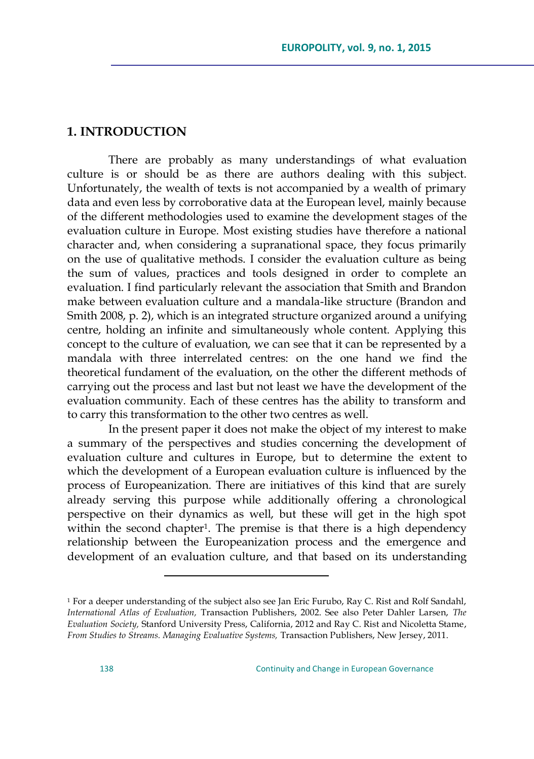### **1. INTRODUCTION**

There are probably as many understandings of what evaluation culture is or should be as there are authors dealing with this subject. Unfortunately, the wealth of texts is not accompanied by a wealth of primary data and even less by corroborative data at the European level, mainly because of the different methodologies used to examine the development stages of the evaluation culture in Europe. Most existing studies have therefore a national character and, when considering a supranational space, they focus primarily on the use of qualitative methods. I consider the evaluation culture as being the sum of values, practices and tools designed in order to complete an evaluation. I find particularly relevant the association that Smith and Brandon make between evaluation culture and a mandala-like structure (Brandon and Smith 2008, p. 2), which is an integrated structure organized around a unifying centre, holding an infinite and simultaneously whole content. Applying this concept to the culture of evaluation, we can see that it can be represented by a mandala with three interrelated centres: on the one hand we find the theoretical fundament of the evaluation, on the other the different methods of carrying out the process and last but not least we have the development of the evaluation community. Each of these centres has the ability to transform and to carry this transformation to the other two centres as well.

In the present paper it does not make the object of my interest to make a summary of the perspectives and studies concerning the development of evaluation culture and cultures in Europe, but to determine the extent to which the development of a European evaluation culture is influenced by the process of Europeanization. There are initiatives of this kind that are surely already serving this purpose while additionally offering a chronological perspective on their dynamics as well, but these will get in the high spot within the second chapter<sup>1</sup>. The premise is that there is a high dependency relationship between the Europeanization process and the emergence and development of an evaluation culture, and that based on its understanding

 $\overline{a}$ 

<sup>&</sup>lt;sup>1</sup> For a deeper understanding of the subject also see Jan Eric Furubo, Ray C. Rist and Rolf Sandahl, *International Atlas of Evaluation,* Transaction Publishers, 2002. See also Peter Dahler Larsen, *The Evaluation Society,* Stanford University Press, California, 2012 and Ray C. Rist and Nicoletta Stame, *From Studies to Streams. Managing Evaluative Systems,* Transaction Publishers, New Jersey, 2011.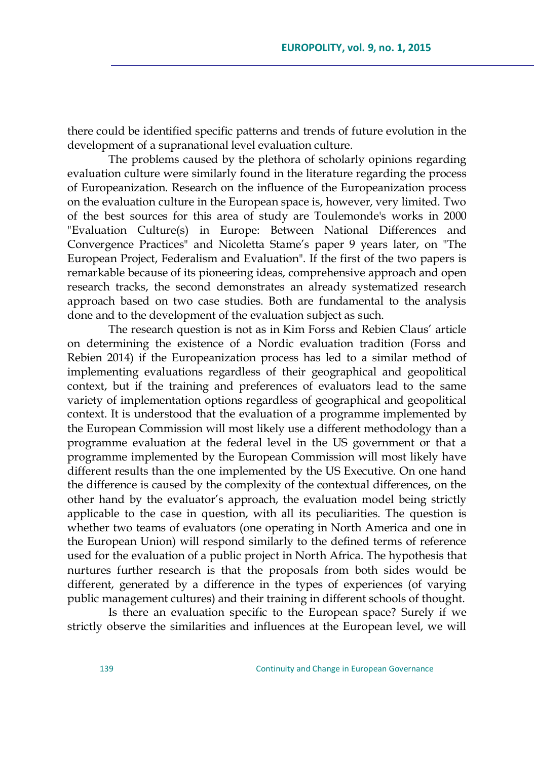there could be identified specific patterns and trends of future evolution in the development of a supranational level evaluation culture.

The problems caused by the plethora of scholarly opinions regarding evaluation culture were similarly found in the literature regarding the process of Europeanization. Research on the influence of the Europeanization process on the evaluation culture in the European space is, however, very limited. Two of the best sources for this area of study are Toulemonde's works in 2000 "Evaluation Culture(s) in Europe: Between National Differences and Convergence Practices" and Nicoletta Stame's paper 9 years later, on "The European Project, Federalism and Evaluation". If the first of the two papers is remarkable because of its pioneering ideas, comprehensive approach and open research tracks, the second demonstrates an already systematized research approach based on two case studies. Both are fundamental to the analysis done and to the development of the evaluation subject as such.

The research question is not as in Kim Forss and Rebien Claus' article on determining the existence of a Nordic evaluation tradition (Forss and Rebien 2014) if the Europeanization process has led to a similar method of implementing evaluations regardless of their geographical and geopolitical context, but if the training and preferences of evaluators lead to the same variety of implementation options regardless of geographical and geopolitical context. It is understood that the evaluation of a programme implemented by the European Commission will most likely use a different methodology than a programme evaluation at the federal level in the US government or that a programme implemented by the European Commission will most likely have different results than the one implemented by the US Executive. On one hand the difference is caused by the complexity of the contextual differences, on the other hand by the evaluator's approach, the evaluation model being strictly applicable to the case in question, with all its peculiarities. The question is whether two teams of evaluators (one operating in North America and one in the European Union) will respond similarly to the defined terms of reference used for the evaluation of a public project in North Africa. The hypothesis that nurtures further research is that the proposals from both sides would be different, generated by a difference in the types of experiences (of varying public management cultures) and their training in different schools of thought.

Is there an evaluation specific to the European space? Surely if we strictly observe the similarities and influences at the European level, we will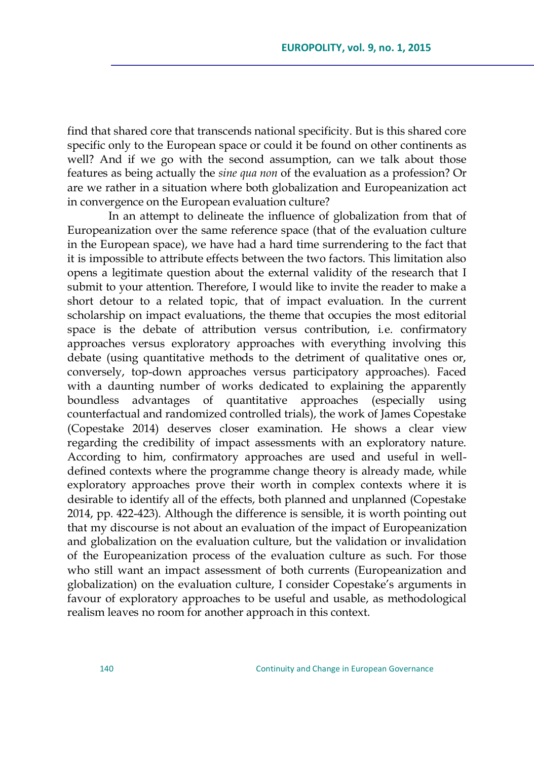find that shared core that transcends national specificity. But is this shared core specific only to the European space or could it be found on other continents as well? And if we go with the second assumption, can we talk about those features as being actually the *sine qua non* of the evaluation as a profession? Or are we rather in a situation where both globalization and Europeanization act in convergence on the European evaluation culture?

In an attempt to delineate the influence of globalization from that of Europeanization over the same reference space (that of the evaluation culture in the European space), we have had a hard time surrendering to the fact that it is impossible to attribute effects between the two factors. This limitation also opens a legitimate question about the external validity of the research that I submit to your attention. Therefore, I would like to invite the reader to make a short detour to a related topic, that of impact evaluation. In the current scholarship on impact evaluations, the theme that occupies the most editorial space is the debate of attribution versus contribution, i.e. confirmatory approaches versus exploratory approaches with everything involving this debate (using quantitative methods to the detriment of qualitative ones or, conversely, top-down approaches versus participatory approaches). Faced with a daunting number of works dedicated to explaining the apparently boundless advantages of quantitative approaches (especially using counterfactual and randomized controlled trials), the work of James Copestake (Copestake 2014) deserves closer examination. He shows a clear view regarding the credibility of impact assessments with an exploratory nature. According to him, confirmatory approaches are used and useful in welldefined contexts where the programme change theory is already made, while exploratory approaches prove their worth in complex contexts where it is desirable to identify all of the effects, both planned and unplanned (Copestake 2014, pp. 422-423). Although the difference is sensible, it is worth pointing out that my discourse is not about an evaluation of the impact of Europeanization and globalization on the evaluation culture, but the validation or invalidation of the Europeanization process of the evaluation culture as such. For those who still want an impact assessment of both currents (Europeanization and globalization) on the evaluation culture, I consider Copestake's arguments in favour of exploratory approaches to be useful and usable, as methodological realism leaves no room for another approach in this context.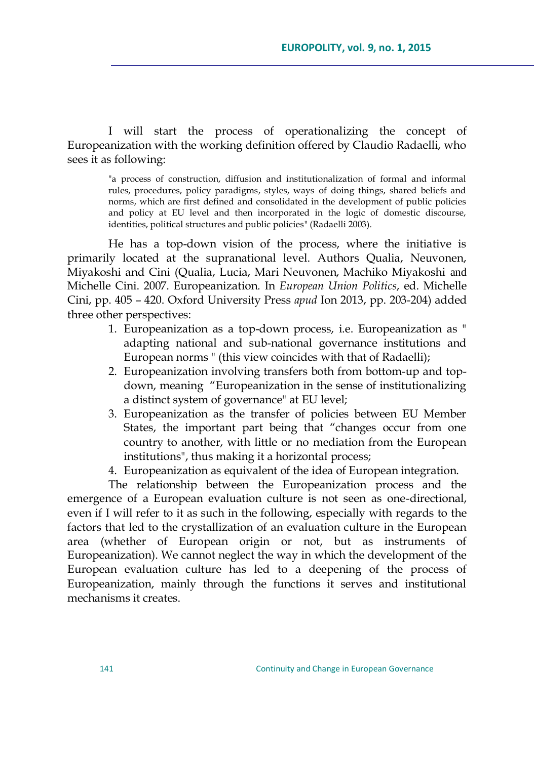I will start the process of operationalizing the concept of Europeanization with the working definition offered by Claudio Radaelli, who sees it as following:

"a process of construction, diffusion and institutionalization of formal and informal rules, procedures, policy paradigms, styles, ways of doing things, shared beliefs and norms, which are first defined and consolidated in the development of public policies and policy at EU level and then incorporated in the logic of domestic discourse, identities, political structures and public policies" (Radaelli 2003).

He has a top-down vision of the process, where the initiative is primarily located at the supranational level. Authors Qualia, Neuvonen, Miyakoshi and Cini (Qualia, Lucia, Mari Neuvonen, Machiko Miyakoshi and Michelle Cini. 2007. Europeanization. In *European Union Politics*, ed. Michelle Cini, pp. 405 – 420. Oxford University Press *apud* Ion 2013, pp. 203-204) added three other perspectives:

- 1. Europeanization as a top-down process, i.e. Europeanization as " adapting national and sub-national governance institutions and European norms " (this view coincides with that of Radaelli);
- 2. Europeanization involving transfers both from bottom-up and topdown, meaning "Europeanization in the sense of institutionalizing a distinct system of governance" at EU level;
- 3. Europeanization as the transfer of policies between EU Member States, the important part being that "changes occur from one country to another, with little or no mediation from the European institutions", thus making it a horizontal process;
- 4. Europeanization as equivalent of the idea of European integration.

The relationship between the Europeanization process and the emergence of a European evaluation culture is not seen as one-directional, even if I will refer to it as such in the following, especially with regards to the factors that led to the crystallization of an evaluation culture in the European area (whether of European origin or not, but as instruments of Europeanization). We cannot neglect the way in which the development of the European evaluation culture has led to a deepening of the process of Europeanization, mainly through the functions it serves and institutional mechanisms it creates.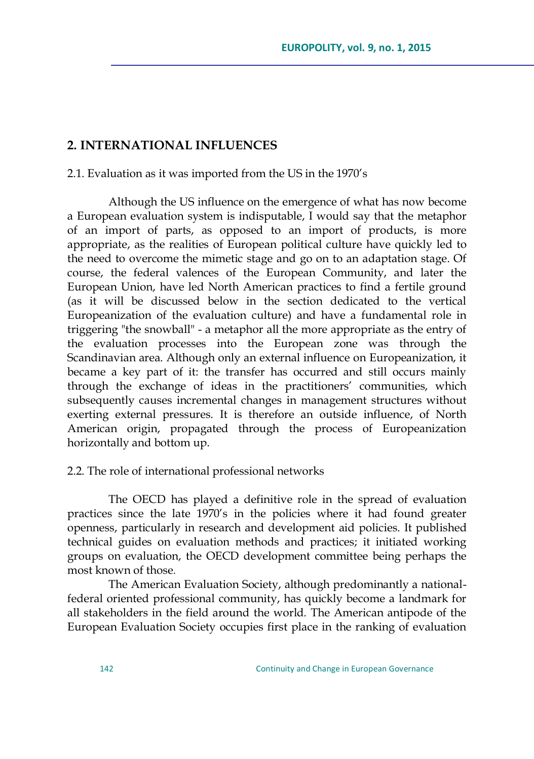### **2. INTERNATIONAL INFLUENCES**

2.1. Evaluation as it was imported from the US in the 1970's

Although the US influence on the emergence of what has now become a European evaluation system is indisputable, I would say that the metaphor of an import of parts, as opposed to an import of products, is more appropriate, as the realities of European political culture have quickly led to the need to overcome the mimetic stage and go on to an adaptation stage. Of course, the federal valences of the European Community, and later the European Union, have led North American practices to find a fertile ground (as it will be discussed below in the section dedicated to the vertical Europeanization of the evaluation culture) and have a fundamental role in triggering "the snowball" - a metaphor all the more appropriate as the entry of the evaluation processes into the European zone was through the Scandinavian area. Although only an external influence on Europeanization, it became a key part of it: the transfer has occurred and still occurs mainly through the exchange of ideas in the practitioners' communities, which subsequently causes incremental changes in management structures without exerting external pressures. It is therefore an outside influence, of North American origin, propagated through the process of Europeanization horizontally and bottom up.

#### 2.2. The role of international professional networks

The OECD has played a definitive role in the spread of evaluation practices since the late 1970's in the policies where it had found greater openness, particularly in research and development aid policies. It published technical guides on evaluation methods and practices; it initiated working groups on evaluation, the OECD development committee being perhaps the most known of those.

The American Evaluation Society, although predominantly a nationalfederal oriented professional community, has quickly become a landmark for all stakeholders in the field around the world. The American antipode of the European Evaluation Society occupies first place in the ranking of evaluation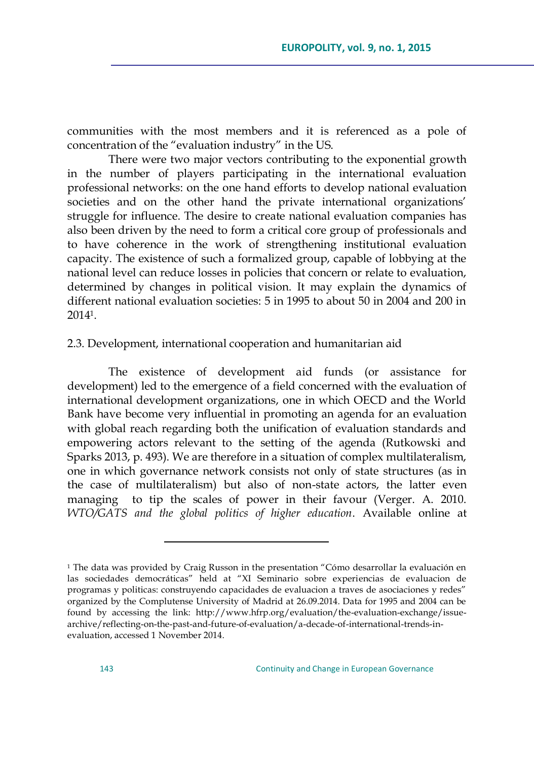communities with the most members and it is referenced as a pole of concentration of the "evaluation industry" in the US.

There were two major vectors contributing to the exponential growth in the number of players participating in the international evaluation professional networks: on the one hand efforts to develop national evaluation societies and on the other hand the private international organizations' struggle for influence. The desire to create national evaluation companies has also been driven by the need to form a critical core group of professionals and to have coherence in the work of strengthening institutional evaluation capacity. The existence of such a formalized group, capable of lobbying at the national level can reduce losses in policies that concern or relate to evaluation, determined by changes in political vision. It may explain the dynamics of different national evaluation societies: 5 in 1995 to about 50 in 2004 and 200 in 20141.

#### 2.3. Development, international cooperation and humanitarian aid

The existence of development aid funds (or assistance for development) led to the emergence of a field concerned with the evaluation of international development organizations, one in which OECD and the World Bank have become very influential in promoting an agenda for an evaluation with global reach regarding both the unification of evaluation standards and empowering actors relevant to the setting of the agenda (Rutkowski and Sparks 2013, p. 493). We are therefore in a situation of complex multilateralism, one in which governance network consists not only of state structures (as in the case of multilateralism) but also of non-state actors, the latter even managing to tip the scales of power in their favour (Verger. A. 2010. *WTO/GATS and the global politics of higher education*. Available online at

 $\overline{a}$ 

 $1$  The data was provided by Craig Russon in the presentation "Cómo desarrollar la evaluación en las sociedades democráticas" held at "XI Seminario sobre experiencias de evaluacion de programas y politicas: construyendo capacidades de evaluacion a traves de asociaciones y redes" organized by the Complutense University of Madrid at 26.09.2014. Data for 1995 and 2004 can be found by accessing the link: [http://www.hfrp.org/evaluation/the-evaluation-exchange/issue](http://www.hfrp.org/evaluation/the-evaluation-exchange/issue-archive/reflecting-on-the-past-and-future-of-evaluation/a-decade-of-international-trends-in-evaluation)[archive/reflecting-on-the-past-and-future-of-evaluation/a-decade-of-international-trends-in](http://www.hfrp.org/evaluation/the-evaluation-exchange/issue-archive/reflecting-on-the-past-and-future-of-evaluation/a-decade-of-international-trends-in-evaluation)[evaluation,](http://www.hfrp.org/evaluation/the-evaluation-exchange/issue-archive/reflecting-on-the-past-and-future-of-evaluation/a-decade-of-international-trends-in-evaluation) accessed 1 November 2014.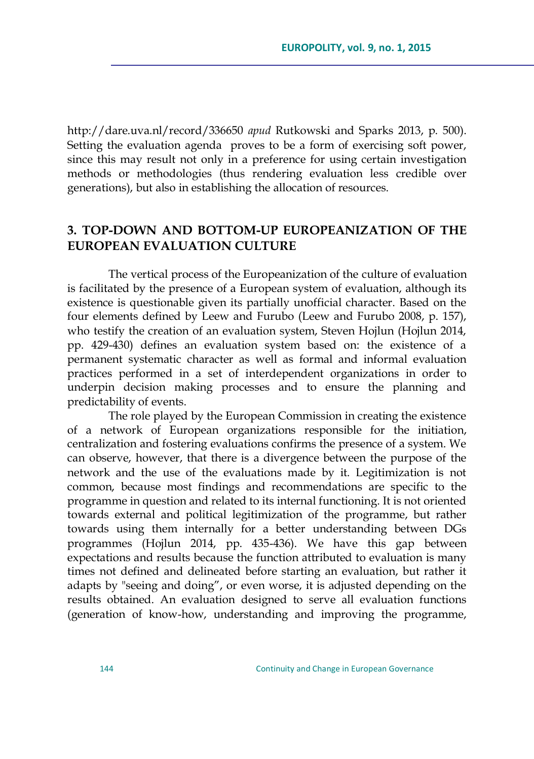http://dare.uva.nl/record/336650 *apud* Rutkowski and Sparks 2013, p. 500). Setting the evaluation agenda proves to be a form of exercising soft power, since this may result not only in a preference for using certain investigation methods or methodologies (thus rendering evaluation less credible over generations), but also in establishing the allocation of resources.

## **3. TOP-DOWN AND BOTTOM-UP EUROPEANIZATION OF THE EUROPEAN EVALUATION CULTURE**

The vertical process of the Europeanization of the culture of evaluation is facilitated by the presence of a European system of evaluation, although its existence is questionable given its partially unofficial character. Based on the four elements defined by Leew and Furubo (Leew and Furubo 2008, p. 157), who testify the creation of an evaluation system, Steven Hojlun (Hojlun 2014, pp. 429-430) defines an evaluation system based on: the existence of a permanent systematic character as well as formal and informal evaluation practices performed in a set of interdependent organizations in order to underpin decision making processes and to ensure the planning and predictability of events.

The role played by the European Commission in creating the existence of a network of European organizations responsible for the initiation, centralization and fostering evaluations confirms the presence of a system. We can observe, however, that there is a divergence between the purpose of the network and the use of the evaluations made by it. Legitimization is not common, because most findings and recommendations are specific to the programme in question and related to its internal functioning. It is not oriented towards external and political legitimization of the programme, but rather towards using them internally for a better understanding between DGs programmes (Hojlun 2014, pp. 435-436). We have this gap between expectations and results because the function attributed to evaluation is many times not defined and delineated before starting an evaluation, but rather it adapts by "seeing and doing", or even worse, it is adjusted depending on the results obtained. An evaluation designed to serve all evaluation functions (generation of know-how, understanding and improving the programme,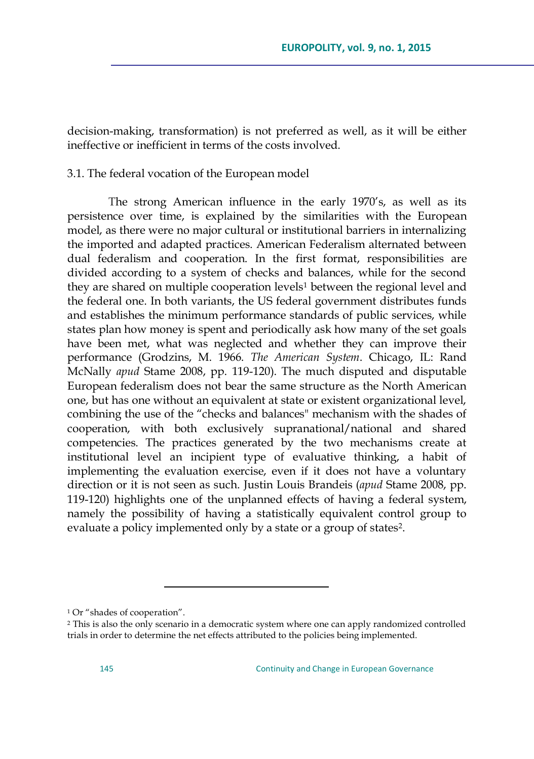decision-making, transformation) is not preferred as well, as it will be either ineffective or inefficient in terms of the costs involved.

#### 3.1. The federal vocation of the European model

The strong American influence in the early 1970's, as well as its persistence over time, is explained by the similarities with the European model, as there were no major cultural or institutional barriers in internalizing the imported and adapted practices. American Federalism alternated between dual federalism and cooperation. In the first format, responsibilities are divided according to a system of checks and balances, while for the second they are shared on multiple cooperation levels<sup>1</sup> between the regional level and the federal one. In both variants, the US federal government distributes funds and establishes the minimum performance standards of public services, while states plan how money is spent and periodically ask how many of the set goals have been met, what was neglected and whether they can improve their performance (Grodzins, M. 1966. *The American System*. Chicago, IL: Rand McNally *apud* Stame 2008, pp. 119-120). The much disputed and disputable European federalism does not bear the same structure as the North American one, but has one without an equivalent at state or existent organizational level, combining the use of the "checks and balances" mechanism with the shades of cooperation, with both exclusively supranational/national and shared competencies. The practices generated by the two mechanisms create at institutional level an incipient type of evaluative thinking, a habit of implementing the evaluation exercise, even if it does not have a voluntary direction or it is not seen as such. Justin Louis Brandeis (*apud* Stame 2008, pp. 119-120) highlights one of the unplanned effects of having a federal system, namely the possibility of having a statistically equivalent control group to evaluate a policy implemented only by a state or a group of states2.

 $\overline{a}$ 

<sup>&</sup>lt;sup>1</sup> Or "shades of cooperation".

<sup>2</sup> This is also the only scenario in a democratic system where one can apply randomized controlled trials in order to determine the net effects attributed to the policies being implemented.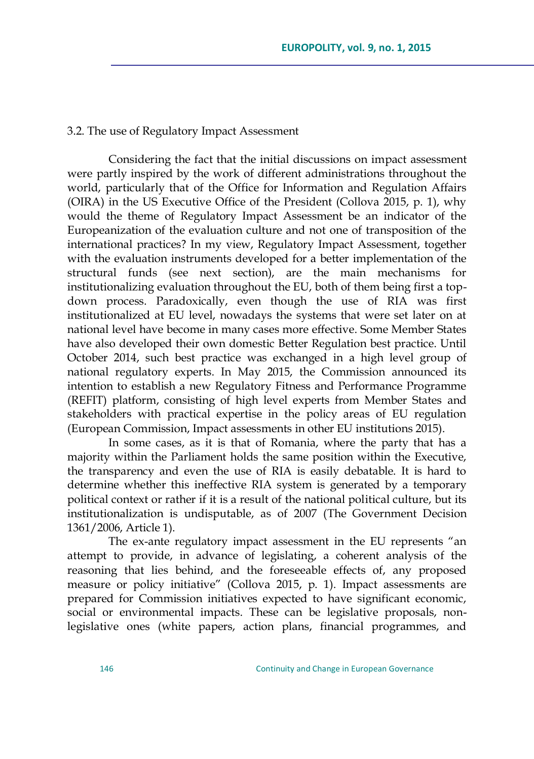#### 3.2. The use of Regulatory Impact Assessment

Considering the fact that the initial discussions on impact assessment were partly inspired by the work of different administrations throughout the world, particularly that of the Office for Information and Regulation Affairs (OIRA) in the US Executive Office of the President (Collova 2015, p. 1), why would the theme of Regulatory Impact Assessment be an indicator of the Europeanization of the evaluation culture and not one of transposition of the international practices? In my view, Regulatory Impact Assessment, together with the evaluation instruments developed for a better implementation of the structural funds (see next section), are the main mechanisms for institutionalizing evaluation throughout the EU, both of them being first a topdown process. Paradoxically, even though the use of RIA was first institutionalized at EU level, nowadays the systems that were set later on at national level have become in many cases more effective. Some Member States have also developed their own domestic Better Regulation best practice. Until October 2014, such best practice was exchanged in a high level group of national regulatory experts. In May 2015, the Commission announced its intention to establish a new Regulatory Fitness and Performance Programme (REFIT) platform, consisting of high level experts from Member States and stakeholders with practical expertise in the policy areas of EU regulation (European Commission, Impact assessments in other EU institutions 2015).

In some cases, as it is that of Romania, where the party that has a majority within the Parliament holds the same position within the Executive, the transparency and even the use of RIA is easily debatable. It is hard to determine whether this ineffective RIA system is generated by a temporary political context or rather if it is a result of the national political culture, but its institutionalization is undisputable, as of 2007 (The Government Decision 1361/2006, Article 1).

The ex-ante regulatory impact assessment in the EU represents "an attempt to provide, in advance of legislating, a coherent analysis of the reasoning that lies behind, and the foreseeable effects of, any proposed measure or policy initiative" (Collova 2015, p. 1). Impact assessments are prepared for Commission initiatives expected to have significant economic, social or environmental impacts. These can be legislative proposals, nonlegislative ones (white papers, action plans, financial programmes, and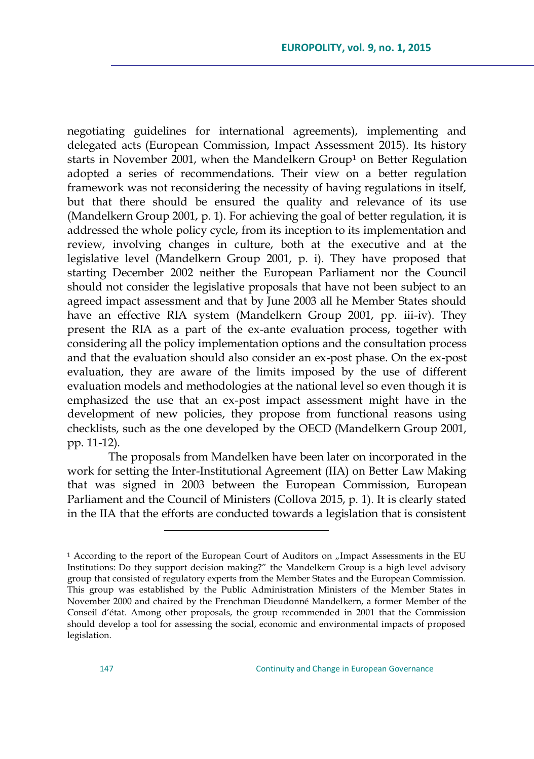negotiating guidelines for international agreements), implementing and delegated acts (European Commission, Impact Assessment 2015). Its history starts in November 2001, when the Mandelkern Group<sup>1</sup> on Better Regulation adopted a series of recommendations. Their view on a better regulation framework was not reconsidering the necessity of having regulations in itself, but that there should be ensured the quality and relevance of its use (Mandelkern Group 2001, p. 1). For achieving the goal of better regulation, it is addressed the whole policy cycle, from its inception to its implementation and review, involving changes in culture, both at the executive and at the legislative level (Mandelkern Group 2001, p. i). They have proposed that starting December 2002 neither the European Parliament nor the Council should not consider the legislative proposals that have not been subject to an agreed impact assessment and that by June 2003 all he Member States should have an effective RIA system (Mandelkern Group 2001, pp. iii-iv). They present the RIA as a part of the ex-ante evaluation process, together with considering all the policy implementation options and the consultation process and that the evaluation should also consider an ex-post phase. On the ex-post evaluation, they are aware of the limits imposed by the use of different evaluation models and methodologies at the national level so even though it is emphasized the use that an ex-post impact assessment might have in the development of new policies, they propose from functional reasons using checklists, such as the one developed by the OECD (Mandelkern Group 2001, pp. 11-12).

The proposals from Mandelken have been later on incorporated in the work for setting the Inter-Institutional Agreement (IIA) on Better Law Making that was signed in 2003 between the European Commission, European Parliament and the Council of Ministers (Collova 2015, p. 1). It is clearly stated in the IIA that the efforts are conducted towards a legislation that is consistent

 $\overline{a}$ 

<sup>&</sup>lt;sup>1</sup> According to the report of the European Court of Auditors on "Impact Assessments in the EU Institutions: Do they support decision making?" the Mandelkern Group is a high level advisory group that consisted of regulatory experts from the Member States and the European Commission. This group was established by the Public Administration Ministers of the Member States in November 2000 and chaired by the Frenchman Dieudonné Mandelkern, a former Member of the Conseil d'état. Among other proposals, the group recommended in 2001 that the Commission should develop a tool for assessing the social, economic and environmental impacts of proposed legislation.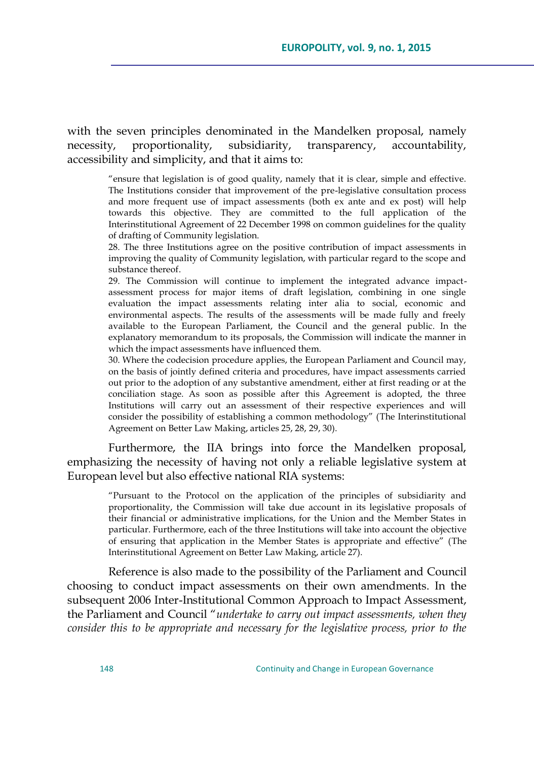with the seven principles denominated in the Mandelken proposal, namely necessity, proportionality, subsidiarity, transparency, accountability, accessibility and simplicity, and that it aims to:

> "ensure that legislation is of good quality, namely that it is clear, simple and effective. The Institutions consider that improvement of the pre-legislative consultation process and more frequent use of impact assessments (both ex ante and ex post) will help towards this objective. They are committed to the full application of the Interinstitutional Agreement of 22 December 1998 on common guidelines for the quality of drafting of Community legislation.

> 28. The three Institutions agree on the positive contribution of impact assessments in improving the quality of Community legislation, with particular regard to the scope and substance thereof.

> 29. The Commission will continue to implement the integrated advance impactassessment process for major items of draft legislation, combining in one single evaluation the impact assessments relating inter alia to social, economic and environmental aspects. The results of the assessments will be made fully and freely available to the European Parliament, the Council and the general public. In the explanatory memorandum to its proposals, the Commission will indicate the manner in which the impact assessments have influenced them.

> 30. Where the codecision procedure applies, the European Parliament and Council may, on the basis of jointly defined criteria and procedures, have impact assessments carried out prior to the adoption of any substantive amendment, either at first reading or at the conciliation stage. As soon as possible after this Agreement is adopted, the three Institutions will carry out an assessment of their respective experiences and will consider the possibility of establishing a common methodology" (The Interinstitutional Agreement on Better Law Making, articles 25, 28, 29, 30).

Furthermore, the IIA brings into force the Mandelken proposal, emphasizing the necessity of having not only a reliable legislative system at European level but also effective national RIA systems:

―Pursuant to the Protocol on the application of the principles of subsidiarity and proportionality, the Commission will take due account in its legislative proposals of their financial or administrative implications, for the Union and the Member States in particular. Furthermore, each of the three Institutions will take into account the objective of ensuring that application in the Member States is appropriate and effective" (The Interinstitutional Agreement on Better Law Making, article 27).

Reference is also made to the possibility of the Parliament and Council choosing to conduct impact assessments on their own amendments. In the subsequent 2006 Inter-Institutional Common Approach to Impact Assessment, the Parliament and Council "undertake to carry out impact assessments, when they *consider this to be appropriate and necessary for the legislative process, prior to the*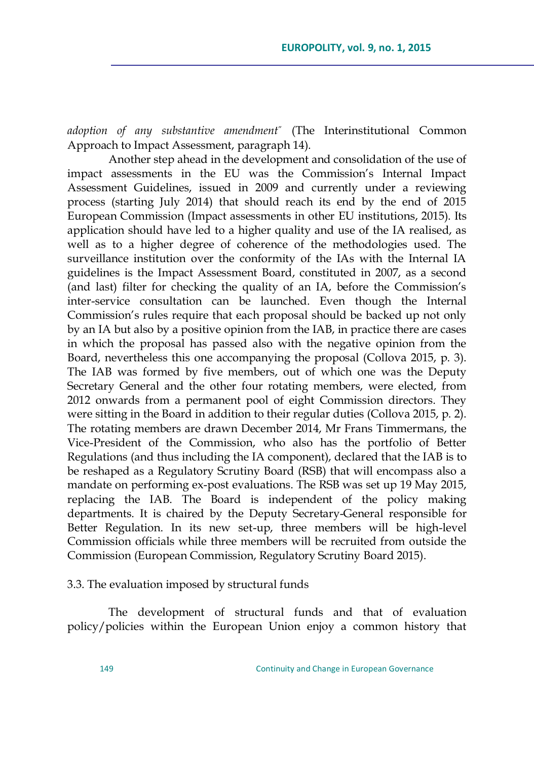*adoption of any substantive amendment*‖ (The Interinstitutional Common Approach to Impact Assessment, paragraph 14).

Another step ahead in the development and consolidation of the use of impact assessments in the EU was the Commission's Internal Impact Assessment Guidelines, issued in 2009 and currently under a reviewing process (starting July 2014) that should reach its end by the end of 2015 European Commission (Impact assessments in other EU institutions, 2015). Its application should have led to a higher quality and use of the IA realised, as well as to a higher degree of coherence of the methodologies used. The surveillance institution over the conformity of the IAs with the Internal IA guidelines is the Impact Assessment Board, constituted in 2007, as a second (and last) filter for checking the quality of an IA, before the Commission's inter-service consultation can be launched. Even though the Internal Commission's rules require that each proposal should be backed up not only by an IA but also by a positive opinion from the IAB, in practice there are cases in which the proposal has passed also with the negative opinion from the Board, nevertheless this one accompanying the proposal (Collova 2015, p. 3). The IAB was formed by five members, out of which one was the Deputy Secretary General and the other four rotating members, were elected, from 2012 onwards from a permanent pool of eight Commission directors. They were sitting in the Board in addition to their regular duties (Collova 2015, p. 2). The rotating members are drawn December 2014, Mr Frans Timmermans, the Vice-President of the Commission, who also has the portfolio of Better Regulations (and thus including the IA component), declared that the IAB is to be reshaped as a Regulatory Scrutiny Board (RSB) that will encompass also a mandate on performing ex-post evaluations. The RSB was set up 19 May 2015, replacing the IAB. The Board is independent of the policy making departments. It is chaired by the Deputy Secretary-General responsible for Better Regulation. In its new set-up, three members will be high-level Commission officials while three members will be recruited from outside the Commission (European Commission, Regulatory Scrutiny Board 2015).

3.3. The evaluation imposed by structural funds

The development of structural funds and that of evaluation policy/policies within the European Union enjoy a common history that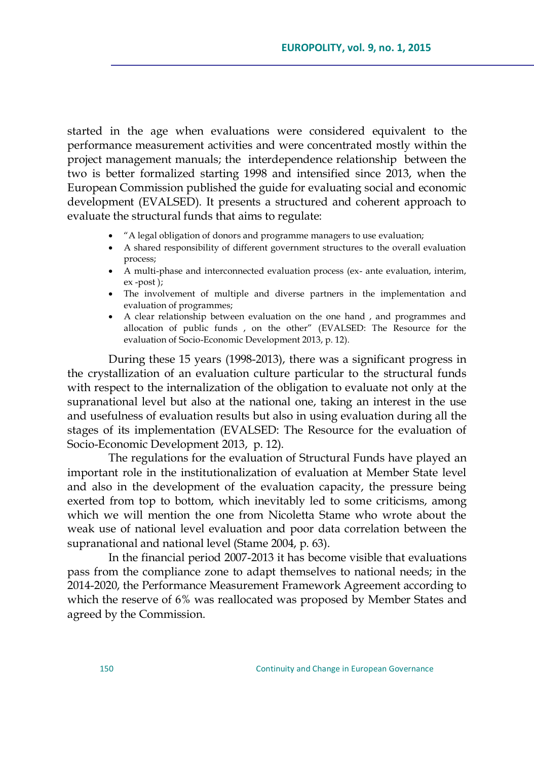started in the age when evaluations were considered equivalent to the performance measurement activities and were concentrated mostly within the project management manuals; the interdependence relationship between the two is better formalized starting 1998 and intensified since 2013, when the European Commission published the guide for evaluating social and economic development (EVALSED). It presents a structured and coherent approach to evaluate the structural funds that aims to regulate:

- ―A legal obligation of donors and programme managers to use evaluation;
- A shared responsibility of different government structures to the overall evaluation process;
- A multi-phase and interconnected evaluation process (ex- ante evaluation, interim, ex -post );
- The involvement of multiple and diverse partners in the implementation and evaluation of programmes;
- A clear relationship between evaluation on the one hand , and programmes and allocation of public funds , on the other" (EVALSED: The Resource for the evaluation of Socio-Economic Development 2013, p. 12).

During these 15 years (1998-2013), there was a significant progress in the crystallization of an evaluation culture particular to the structural funds with respect to the internalization of the obligation to evaluate not only at the supranational level but also at the national one, taking an interest in the use and usefulness of evaluation results but also in using evaluation during all the stages of its implementation (EVALSED: The Resource for the evaluation of Socio-Economic Development 2013, p. 12).

The regulations for the evaluation of Structural Funds have played an important role in the institutionalization of evaluation at Member State level and also in the development of the evaluation capacity, the pressure being exerted from top to bottom, which inevitably led to some criticisms, among which we will mention the one from Nicoletta Stame who wrote about the weak use of national level evaluation and poor data correlation between the supranational and national level (Stame 2004, p. 63).

In the financial period 2007-2013 it has become visible that evaluations pass from the compliance zone to adapt themselves to national needs; in the 2014-2020, the Performance Measurement Framework Agreement according to which the reserve of 6% was reallocated was proposed by Member States and agreed by the Commission.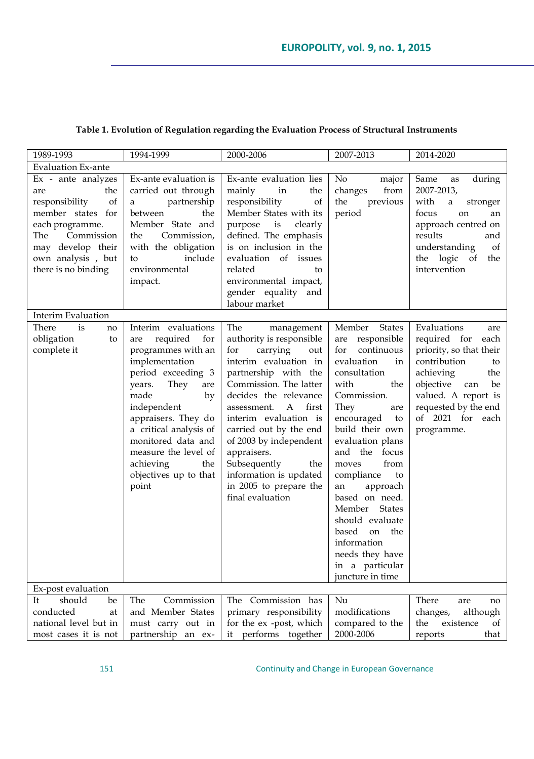| 1989-1993                                                                                                                                                                              | 1994-1999                                                                                                                                                                                                                                                                                                              | 2000-2006                                                                                                                                                                                                                                                                                                                                                                                           | 2007-2013                                                                                                                                                                                                                                                                                                                                                                                                                                       | 2014-2020                                                                                                                                                                                                               |  |  |
|----------------------------------------------------------------------------------------------------------------------------------------------------------------------------------------|------------------------------------------------------------------------------------------------------------------------------------------------------------------------------------------------------------------------------------------------------------------------------------------------------------------------|-----------------------------------------------------------------------------------------------------------------------------------------------------------------------------------------------------------------------------------------------------------------------------------------------------------------------------------------------------------------------------------------------------|-------------------------------------------------------------------------------------------------------------------------------------------------------------------------------------------------------------------------------------------------------------------------------------------------------------------------------------------------------------------------------------------------------------------------------------------------|-------------------------------------------------------------------------------------------------------------------------------------------------------------------------------------------------------------------------|--|--|
| <b>Evaluation Ex-ante</b>                                                                                                                                                              |                                                                                                                                                                                                                                                                                                                        |                                                                                                                                                                                                                                                                                                                                                                                                     |                                                                                                                                                                                                                                                                                                                                                                                                                                                 |                                                                                                                                                                                                                         |  |  |
| Ex - ante analyzes<br>the<br>are<br>of<br>responsibility<br>member states for<br>each programme.<br>The<br>Commission<br>may develop their<br>own analysis, but<br>there is no binding | Ex-ante evaluation is<br>carried out through<br>partnership<br>a<br>between<br>the<br>Member State and<br>Commission,<br>the<br>with the obligation<br>include<br>to<br>environmental<br>impact.                                                                                                                       | Ex-ante evaluation lies<br>mainly<br>in<br>the<br>responsibility<br>of<br>Member States with its<br>purpose is<br>clearly<br>defined. The emphasis<br>is on inclusion in the<br>evaluation of issues<br>related<br>to<br>environmental impact,<br>gender equality and<br>labour market                                                                                                              | No<br>major<br>from<br>changes<br>the<br>previous<br>period                                                                                                                                                                                                                                                                                                                                                                                     | Same<br>during<br>as<br>2007-2013,<br>with<br>a<br>stronger<br>focus<br>on<br>an<br>approach centred on<br>results<br>and<br>understanding<br>of<br>the logic of<br>the<br>intervention                                 |  |  |
| <b>Interim Evaluation</b>                                                                                                                                                              |                                                                                                                                                                                                                                                                                                                        |                                                                                                                                                                                                                                                                                                                                                                                                     |                                                                                                                                                                                                                                                                                                                                                                                                                                                 |                                                                                                                                                                                                                         |  |  |
| There<br>is<br>no<br>obligation<br>to<br>complete it                                                                                                                                   | Interim evaluations<br>required<br>for<br>are<br>programmes with an<br>implementation<br>period exceeding 3<br>They<br>years.<br>are<br>made<br>by<br>independent<br>appraisers. They do<br>a critical analysis of<br>monitored data and<br>measure the level of<br>achieving<br>the<br>objectives up to that<br>point | The<br>management<br>authority is responsible<br>for<br>carrying<br>out<br>interim evaluation in<br>partnership with the<br>Commission. The latter<br>decides the relevance<br>assessment.<br>A<br>first<br>interim evaluation is<br>carried out by the end<br>of 2003 by independent<br>appraisers.<br>Subsequently<br>the<br>information is updated<br>in 2005 to prepare the<br>final evaluation | Member<br><b>States</b><br>are responsible<br>continuous<br>for<br>evaluation<br>in<br>consultation<br>with<br>the<br>Commission.<br>They<br>are<br>encouraged<br>to<br>build their own<br>evaluation plans<br>and the focus<br>from<br>moves<br>compliance<br>to<br>approach<br>an<br>based on need.<br><b>States</b><br>Member<br>should evaluate<br>based<br>on the<br>information<br>needs they have<br>in a particular<br>juncture in time | Evaluations<br>are<br>required for each<br>priority, so that their<br>contribution<br>to<br>achieving<br>the<br>objective<br>be<br>can<br>valued. A report is<br>requested by the end<br>of 2021 for each<br>programme. |  |  |
| Ex-post evaluation                                                                                                                                                                     |                                                                                                                                                                                                                                                                                                                        |                                                                                                                                                                                                                                                                                                                                                                                                     |                                                                                                                                                                                                                                                                                                                                                                                                                                                 |                                                                                                                                                                                                                         |  |  |
| should<br>It<br>be<br>conducted<br>at<br>national level but in<br>most cases it is not                                                                                                 | Commission<br>The<br>and Member States<br>must carry out in<br>partnership an ex-                                                                                                                                                                                                                                      | The Commission has<br>primary responsibility<br>for the ex-post, which<br>it performs together                                                                                                                                                                                                                                                                                                      | Nu<br>modifications<br>compared to the<br>2000-2006                                                                                                                                                                                                                                                                                                                                                                                             | There<br>are<br>no<br>changes,<br>although<br>the<br>existence<br>of<br>that<br>reports                                                                                                                                 |  |  |

## **Table 1. Evolution of Regulation regarding the Evaluation Process of Structural Instruments**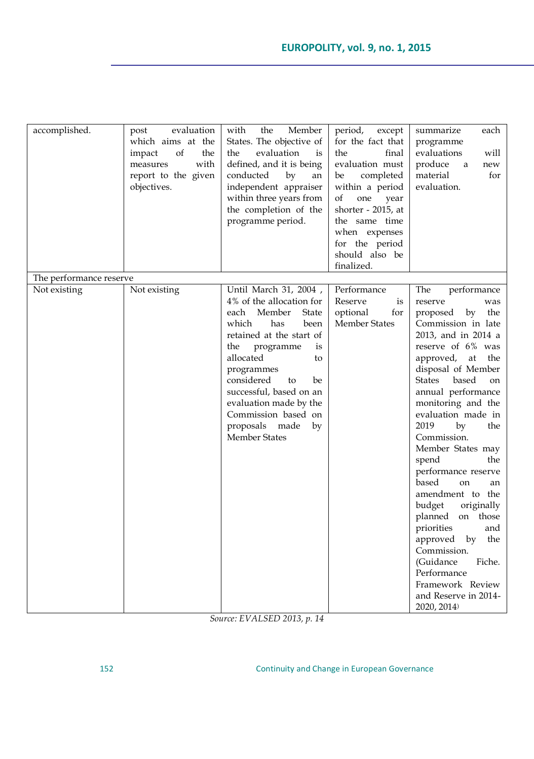| accomplished.                           | evaluation<br>post<br>which aims at the<br>of<br>the<br>impact<br>with<br>measures<br>report to the given<br>objectives. | the<br>Member<br>with<br>States. The objective of<br>evaluation<br>the<br>is<br>defined, and it is being<br>conducted<br>by<br>an<br>independent appraiser<br>within three years from<br>the completion of the                                                                                                                                           | period,<br>except<br>for the fact that<br>final<br>the<br>evaluation must<br>completed<br>be<br>within a period<br>of<br>one<br>year<br>shorter - 2015, at | $\bf{summarize}$<br>each<br>programme<br>evaluations<br>will<br>produce<br>new<br>a<br>material<br>for<br>evaluation.                                                                                                                                                                                                                                                                                                                                                                                                                                                                                                                |
|-----------------------------------------|--------------------------------------------------------------------------------------------------------------------------|----------------------------------------------------------------------------------------------------------------------------------------------------------------------------------------------------------------------------------------------------------------------------------------------------------------------------------------------------------|------------------------------------------------------------------------------------------------------------------------------------------------------------|--------------------------------------------------------------------------------------------------------------------------------------------------------------------------------------------------------------------------------------------------------------------------------------------------------------------------------------------------------------------------------------------------------------------------------------------------------------------------------------------------------------------------------------------------------------------------------------------------------------------------------------|
|                                         |                                                                                                                          | programme period.                                                                                                                                                                                                                                                                                                                                        | the same time<br>when expenses<br>for the period<br>should also be<br>finalized.                                                                           |                                                                                                                                                                                                                                                                                                                                                                                                                                                                                                                                                                                                                                      |
| The performance reserve<br>Not existing | Not existing                                                                                                             | Until March 31, 2004,<br>4% of the allocation for<br>Member<br>each<br><b>State</b><br>been<br>which<br>has<br>retained at the start of<br>programme<br>the<br>is<br>allocated<br>to<br>programmes<br>considered<br>to<br>be<br>successful, based on an<br>evaluation made by the<br>Commission based on<br>proposals made<br>by<br><b>Member States</b> | Performance<br>Reserve<br>is<br>for<br>optional<br><b>Member States</b>                                                                                    | The<br>performance<br>reserve<br>was<br>by<br>the<br>proposed<br>Commission in late<br>2013, and in 2014 a<br>reserve of 6% was<br>the<br>approved,<br>at<br>disposal of Member<br>based<br><b>States</b><br>on<br>annual performance<br>monitoring and the<br>evaluation made in<br>2019<br>by<br>the<br>Commission.<br>Member States may<br>spend<br>the<br>performance reserve<br>based<br>on<br>an<br>amendment to the<br>budget<br>originally<br>planned on those<br>priorities<br>and<br>approved<br>by<br>the<br>Commission.<br>(Guidance<br>Fiche.<br>Performance<br>Framework Review<br>and Reserve in 2014-<br>2020, 2014) |

*Source: EVALSED 2013, p. 14*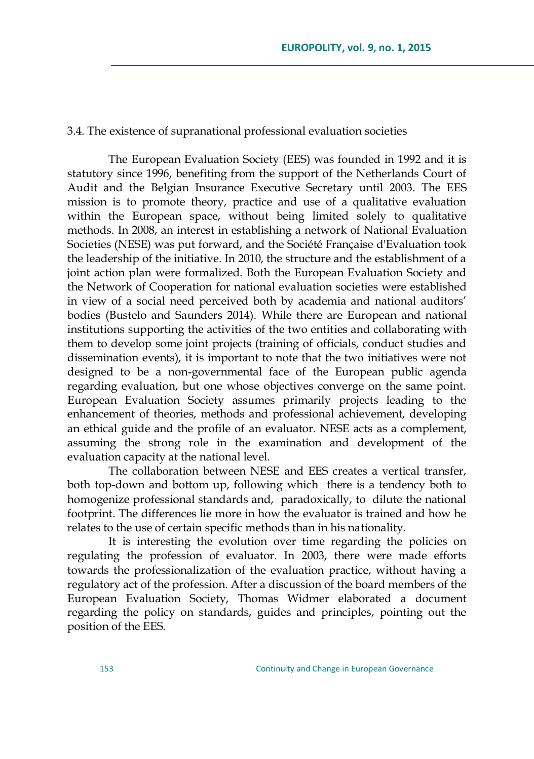### 3.4. The existence of supranational professional evaluation societies

The European Evaluation Society (EES) was founded in 1992 and it is statutory since 1996, benefiting from the support of the Netherlands Court of Audit and the Belgian Insurance Executive Secretary until 2003. The EES mission is to promote theory, practice and use of a qualitative evaluation within the European space, without being limited solely to qualitative methods. In 2008, an interest in establishing a network of National Evaluation Societies (NESE) was put forward, and the Société Française d'Evaluation took the leadership of the initiative. In 2010, the structure and the establishment of a joint action plan were formalized. Both the European Evaluation Society and the Network of Cooperation for national evaluation societies were established in view of a social need perceived both by academia and national auditors' bodies (Bustelo and Saunders 2014). While there are European and national institutions supporting the activities of the two entities and collaborating with them to develop some joint projects (training of officials, conduct studies and dissemination events), it is important to note that the two initiatives were not designed to be a non-governmental face of the European public agenda regarding evaluation, but one whose objectives converge on the same point. European Evaluation Society assumes primarily projects leading to the enhancement of theories, methods and professional achievement, developing an ethical guide and the profile of an evaluator. NESE acts as a complement, assuming the strong role in the examination and development of the evaluation capacity at the national level.

The collaboration between NESE and EES creates a vertical transfer, both top-down and bottom up, following which there is a tendency both to homogenize professional standards and, paradoxically, to dilute the national footprint. The differences lie more in how the evaluator is trained and how he relates to the use of certain specific methods than in his nationality.

It is interesting the evolution over time regarding the policies on regulating the profession of evaluator. In 2003, there were made efforts towards the professionalization of the evaluation practice, without having a regulatory act of the profession. After a discussion of the board members of the European Evaluation Society, Thomas Widmer elaborated a document regarding the policy on standards, guides and principles, pointing out the position of the EES.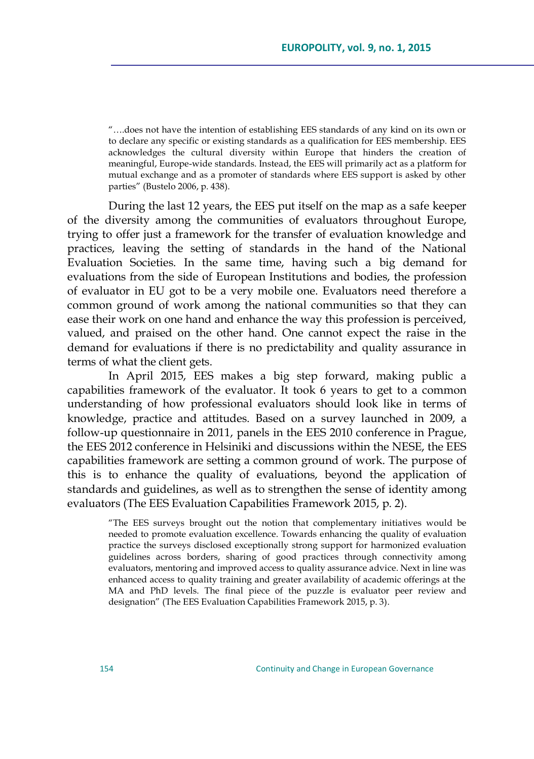―….does not have the intention of establishing EES standards of any kind on its own or to declare any specific or existing standards as a qualification for EES membership. EES acknowledges the cultural diversity within Europe that hinders the creation of meaningful, Europe-wide standards. Instead, the EES will primarily act as a platform for mutual exchange and as a promoter of standards where EES support is asked by other parties" (Bustelo 2006, p. 438).

During the last 12 years, the EES put itself on the map as a safe keeper of the diversity among the communities of evaluators throughout Europe, trying to offer just a framework for the transfer of evaluation knowledge and practices, leaving the setting of standards in the hand of the National Evaluation Societies. In the same time, having such a big demand for evaluations from the side of European Institutions and bodies, the profession of evaluator in EU got to be a very mobile one. Evaluators need therefore a common ground of work among the national communities so that they can ease their work on one hand and enhance the way this profession is perceived, valued, and praised on the other hand. One cannot expect the raise in the demand for evaluations if there is no predictability and quality assurance in terms of what the client gets.

In April 2015, EES makes a big step forward, making public a capabilities framework of the evaluator. It took 6 years to get to a common understanding of how professional evaluators should look like in terms of knowledge, practice and attitudes. Based on a survey launched in 2009, a follow-up questionnaire in 2011, panels in the EES 2010 conference in Prague, the EES 2012 conference in Helsiniki and discussions within the NESE, the EES capabilities framework are setting a common ground of work. The purpose of this is to enhance the quality of evaluations, beyond the application of standards and guidelines, as well as to strengthen the sense of identity among evaluators (The EES Evaluation Capabilities Framework 2015, p. 2).

―The EES surveys brought out the notion that complementary initiatives would be needed to promote evaluation excellence. Towards enhancing the quality of evaluation practice the surveys disclosed exceptionally strong support for harmonized evaluation guidelines across borders, sharing of good practices through connectivity among evaluators, mentoring and improved access to quality assurance advice. Next in line was enhanced access to quality training and greater availability of academic offerings at the MA and PhD levels. The final piece of the puzzle is evaluator peer review and designation" (The EES Evaluation Capabilities Framework 2015, p. 3).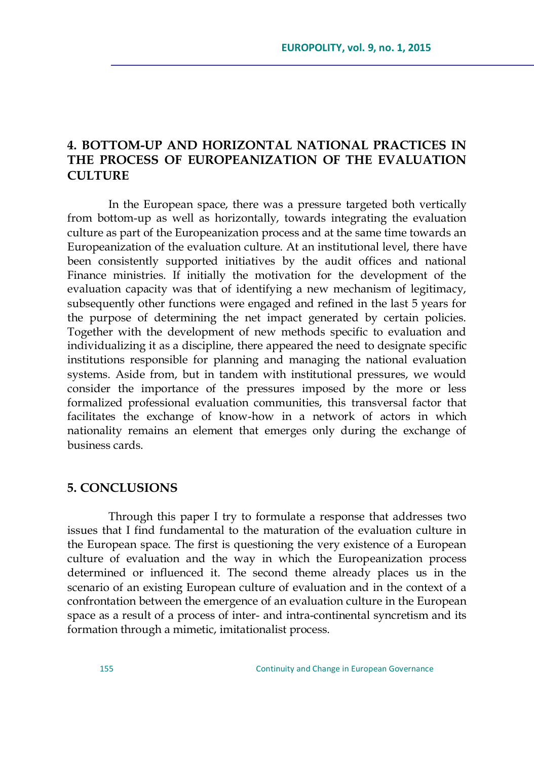## **4. BOTTOM-UP AND HORIZONTAL NATIONAL PRACTICES IN THE PROCESS OF EUROPEANIZATION OF THE EVALUATION CULTURE**

In the European space, there was a pressure targeted both vertically from bottom-up as well as horizontally, towards integrating the evaluation culture as part of the Europeanization process and at the same time towards an Europeanization of the evaluation culture. At an institutional level, there have been consistently supported initiatives by the audit offices and national Finance ministries. If initially the motivation for the development of the evaluation capacity was that of identifying a new mechanism of legitimacy, subsequently other functions were engaged and refined in the last 5 years for the purpose of determining the net impact generated by certain policies. Together with the development of new methods specific to evaluation and individualizing it as a discipline, there appeared the need to designate specific institutions responsible for planning and managing the national evaluation systems. Aside from, but in tandem with institutional pressures, we would consider the importance of the pressures imposed by the more or less formalized professional evaluation communities, this transversal factor that facilitates the exchange of know-how in a network of actors in which nationality remains an element that emerges only during the exchange of business cards.

### **5. CONCLUSIONS**

Through this paper I try to formulate a response that addresses two issues that I find fundamental to the maturation of the evaluation culture in the European space. The first is questioning the very existence of a European culture of evaluation and the way in which the Europeanization process determined or influenced it. The second theme already places us in the scenario of an existing European culture of evaluation and in the context of a confrontation between the emergence of an evaluation culture in the European space as a result of a process of inter- and intra-continental syncretism and its formation through a mimetic, imitationalist process.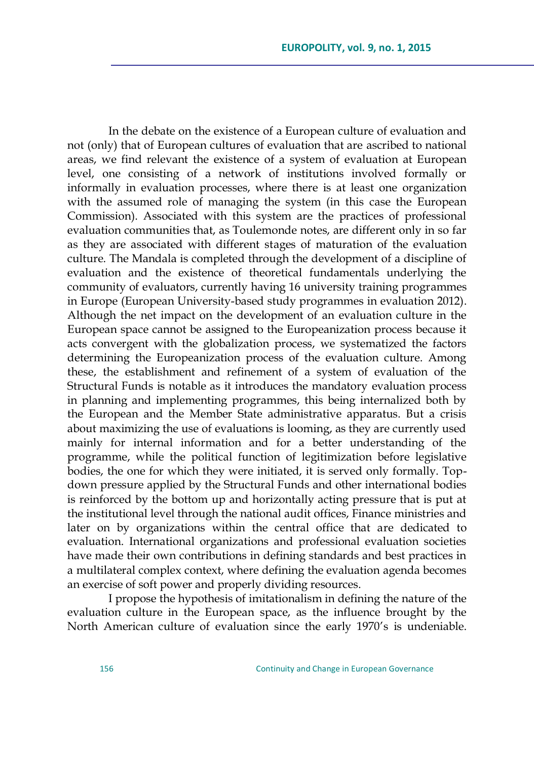In the debate on the existence of a European culture of evaluation and not (only) that of European cultures of evaluation that are ascribed to national areas, we find relevant the existence of a system of evaluation at European level, one consisting of a network of institutions involved formally or informally in evaluation processes, where there is at least one organization with the assumed role of managing the system (in this case the European Commission). Associated with this system are the practices of professional evaluation communities that, as Toulemonde notes, are different only in so far as they are associated with different stages of maturation of the evaluation culture. The Mandala is completed through the development of a discipline of evaluation and the existence of theoretical fundamentals underlying the community of evaluators, currently having 16 university training programmes in Europe (European University-based study programmes in evaluation 2012). Although the net impact on the development of an evaluation culture in the European space cannot be assigned to the Europeanization process because it acts convergent with the globalization process, we systematized the factors determining the Europeanization process of the evaluation culture. Among these, the establishment and refinement of a system of evaluation of the Structural Funds is notable as it introduces the mandatory evaluation process in planning and implementing programmes, this being internalized both by the European and the Member State administrative apparatus. But a crisis about maximizing the use of evaluations is looming, as they are currently used mainly for internal information and for a better understanding of the programme, while the political function of legitimization before legislative bodies, the one for which they were initiated, it is served only formally. Topdown pressure applied by the Structural Funds and other international bodies is reinforced by the bottom up and horizontally acting pressure that is put at the institutional level through the national audit offices, Finance ministries and later on by organizations within the central office that are dedicated to evaluation. International organizations and professional evaluation societies have made their own contributions in defining standards and best practices in a multilateral complex context, where defining the evaluation agenda becomes an exercise of soft power and properly dividing resources.

I propose the hypothesis of imitationalism in defining the nature of the evaluation culture in the European space, as the influence brought by the North American culture of evaluation since the early 1970's is undeniable.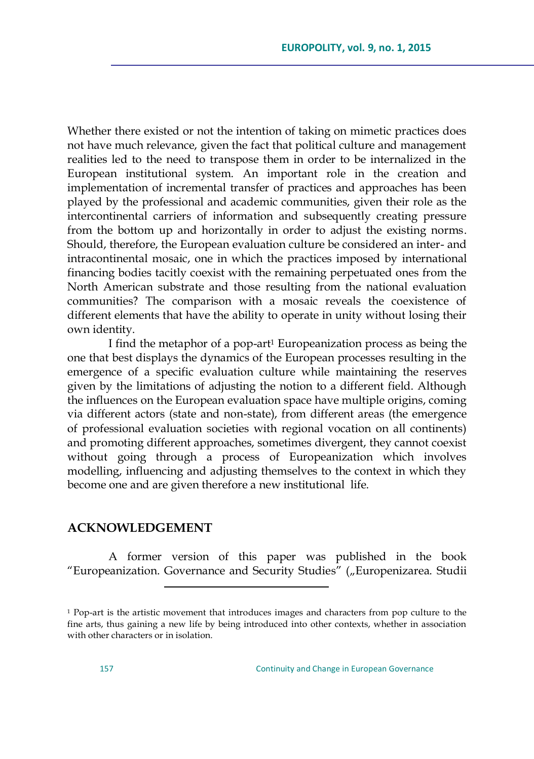Whether there existed or not the intention of taking on mimetic practices does not have much relevance, given the fact that political culture and management realities led to the need to transpose them in order to be internalized in the European institutional system. An important role in the creation and implementation of incremental transfer of practices and approaches has been played by the professional and academic communities, given their role as the intercontinental carriers of information and subsequently creating pressure from the bottom up and horizontally in order to adjust the existing norms. Should, therefore, the European evaluation culture be considered an inter- and intracontinental mosaic, one in which the practices imposed by international financing bodies tacitly coexist with the remaining perpetuated ones from the North American substrate and those resulting from the national evaluation communities? The comparison with a mosaic reveals the coexistence of different elements that have the ability to operate in unity without losing their own identity.

I find the metaphor of a pop-art<sup>1</sup> Europeanization process as being the one that best displays the dynamics of the European processes resulting in the emergence of a specific evaluation culture while maintaining the reserves given by the limitations of adjusting the notion to a different field. Although the influences on the European evaluation space have multiple origins, coming via different actors (state and non-state), from different areas (the emergence of professional evaluation societies with regional vocation on all continents) and promoting different approaches, sometimes divergent, they cannot coexist without going through a process of Europeanization which involves modelling, influencing and adjusting themselves to the context in which they become one and are given therefore a new institutional life.

### **ACKNOWLEDGEMENT**

 $\overline{a}$ 

A former version of this paper was published in the book "Europeanization. Governance and Security Studies" ("Europenizarea. Studii

<sup>1</sup> Pop-art is the artistic movement that introduces images and characters from pop culture to the fine arts, thus gaining a new life by being introduced into other contexts, whether in association with other characters or in isolation.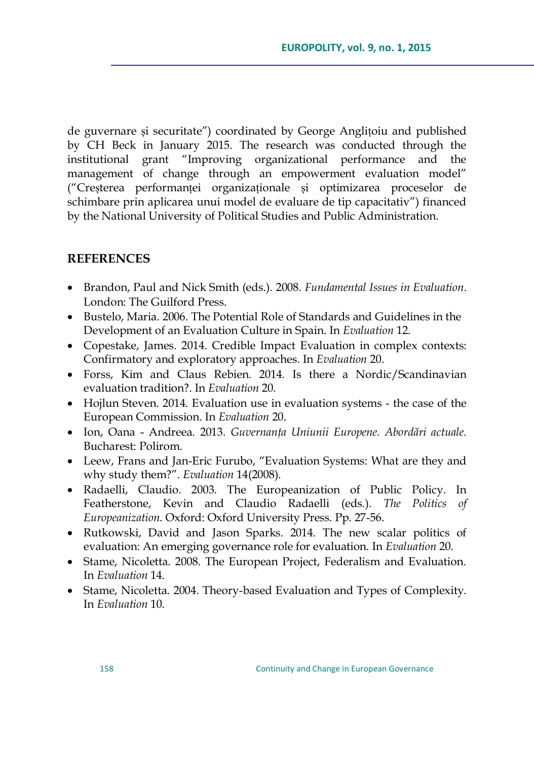de guvernare și securitate‖) coordinated by George Anglițoiu and published by CH Beck in January 2015. The research was conducted through the institutional grant "Improving organizational performance and the management of change through an empowerment evaluation model" (―Creșterea performanței organizaționale și optimizarea proceselor de schimbare prin aplicarea unui model de evaluare de tip capacitativ") financed by the National University of Political Studies and Public Administration.

## **REFERENCES**

- Brandon, Paul and Nick Smith (eds.). 2008. *Fundamental Issues in Evaluation*. London: The Guilford Press.
- Bustelo, Maria. 2006. The Potential Role of Standards and Guidelines in the Development of an Evaluation Culture in Spain. In *Evaluation* 12.
- Copestake, James. 2014. Credible Impact Evaluation in complex contexts: Confirmatory and exploratory approaches. In *Evaluation* 20.
- Forss, Kim and Claus Rebien. 2014. Is there a Nordic/Scandinavian evaluation tradition?. In *Evaluation* 20.
- Hojlun Steven. 2014. Evaluation use in evaluation systems the case of the European Commission. In *Evaluation* 20.
- **•** Ion, Oana Andreea. 2013. *Guvernanta Uniunii Europene. Abordări actuale.* Bucharest: Polirom.
- Leew, Frans and Jan-Eric Furubo, "Evaluation Systems: What are they and why study them?". *Evaluation* 14(2008).
- Radaelli, Claudio. 2003. The Europeanization of Public Policy. In Featherstone, Kevin and Claudio Radaelli (eds.). *The Politics of Europeanization*. Oxford: Oxford University Press. Pp. 27-56.
- Rutkowski, David and Jason Sparks. 2014. The new scalar politics of evaluation: An emerging governance role for evaluation. In *Evaluation* 20.
- Stame, Nicoletta. 2008. The European Project, Federalism and Evaluation. In *Evaluation* 14.
- Stame, Nicoletta. 2004. Theory-based Evaluation and Types of Complexity. In *Evaluation* 10.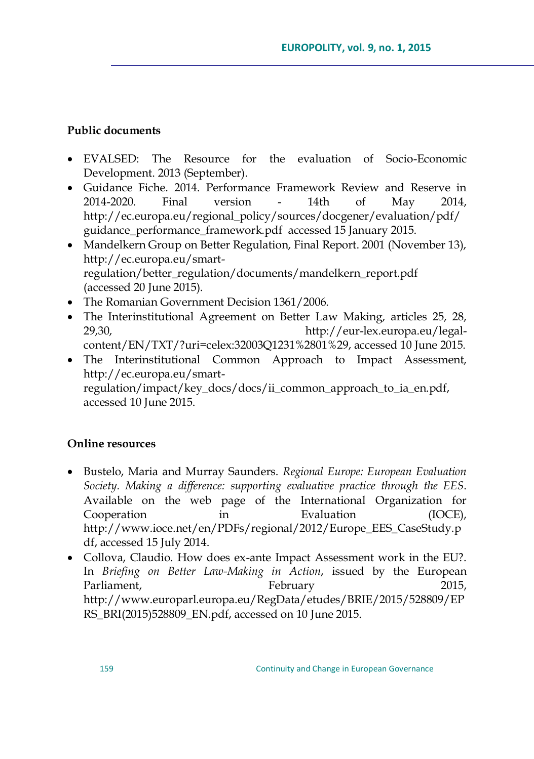## **Public documents**

- EVALSED: The Resource for the evaluation of Socio-Economic Development. 2013 (September).
- Guidance Fiche. 2014. Performance Framework Review and Reserve in 2014-2020. Final version - 14th of May 2014, [http://ec.europa.eu/regional\\_policy/sources/docgener/evaluation/pdf/](http://ec.europa.eu/regional_policy/sources/docgener/evaluation/pdf/guidance_performance_framework.pdf) [guidance\\_performance\\_framework.pdf](http://ec.europa.eu/regional_policy/sources/docgener/evaluation/pdf/guidance_performance_framework.pdf) accessed 15 January 2015.
- Mandelkern Group on Better Regulation, Final Report. 2001 (November 13), http://ec.europa.eu/smartregulation/better\_regulation/documents/mandelkern\_report.pdf (accessed 20 June 2015).
- The Romanian Government Decision 1361/2006.
- The Interinstitutional Agreement on Better Law Making, articles 25, 28, 29,30, [http://eur-lex.europa.eu/legal](http://eur-lex.europa.eu/legal-content/EN/TXT/?uri=celex:32003Q1231%2801%29)[content/EN/TXT/?uri=celex:32003Q1231%2801%29,](http://eur-lex.europa.eu/legal-content/EN/TXT/?uri=celex:32003Q1231%2801%29) accessed 10 June 2015.
- The Interinstitutional Common Approach to Impact Assessment, http://ec.europa.eu/smartregulation/impact/key\_docs/docs/ii\_common\_approach\_to\_ia\_en.pdf, accessed 10 June 2015.

## **Online resources**

- Bustelo, Maria and Murray Saunders. *Regional Europe: European Evaluation Society. Making a difference: supporting evaluative practice through the EES*. Available on the web page of the International Organization for Cooperation in Evaluation (IOCE), [http://www.ioce.net/en/PDFs/regional/2012/Europe\\_EES\\_CaseStudy.p](http://www.ioce.net/en/PDFs/regional/2012/Europe_EES_CaseStudy.pdf) [df,](http://www.ioce.net/en/PDFs/regional/2012/Europe_EES_CaseStudy.pdf) accessed 15 July 2014.
- Collova, Claudio. How does ex-ante Impact Assessment work in the EU?. In *Briefing on Better Law-Making in Action*, issued by the European Parliament, February 2015, http://www.europarl.europa.eu/RegData/etudes/BRIE/2015/528809/EP RS\_BRI(2015)528809\_EN.pdf, accessed on 10 June 2015.